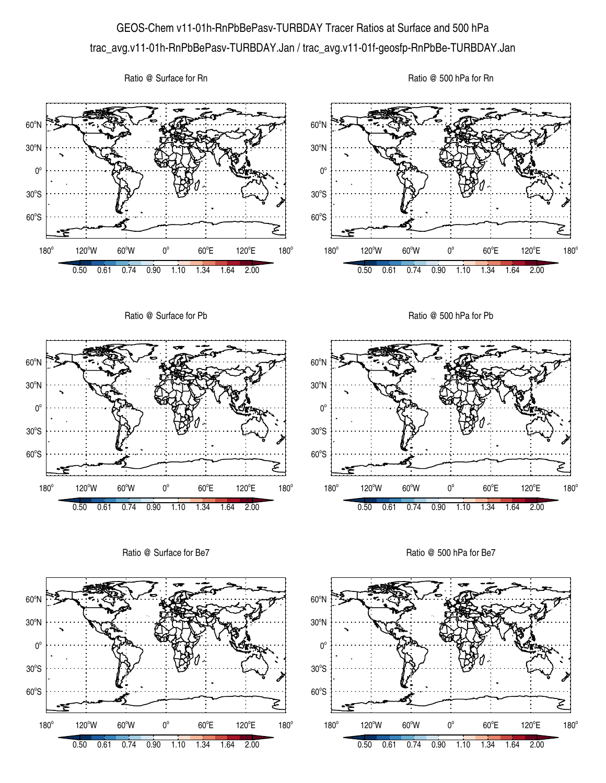## GEOS-Chem v11-01h-RnPbBePasv-TURBDAY Tracer Ratios at Surface and 500 hPa trac\_avg.v11-01h-RnPbBePasv-TURBDAY.Jan / trac\_avg.v11-01f-geosfp-RnPbBe-TURBDAY.Jan

Ratio @ Surface for Rn





Ratio @ Surface for Be7



Ratio @ 500 hPa for Be7